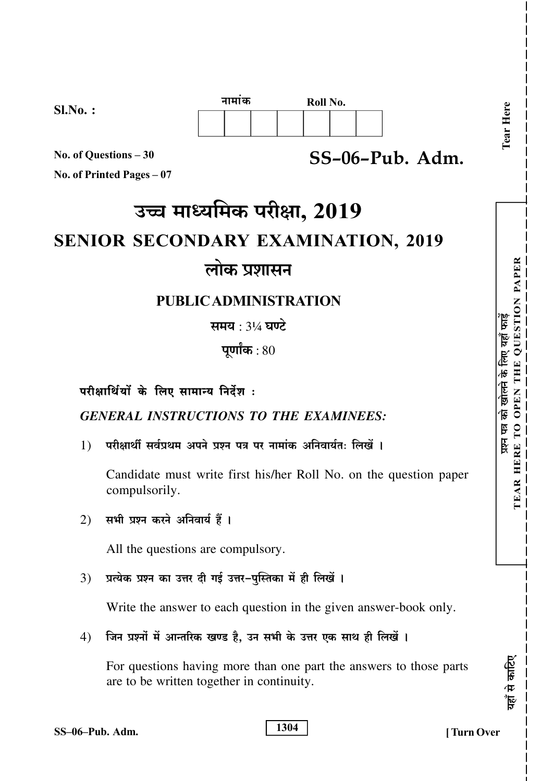

 $SS-06-Pub.$  Adm.

No. of Questions - 30 No. of Printed Pages  $-07$ 

 $Sl.No.$ :

# उच्च माध्यमिक परीक्षा, 2019

# **SENIOR SECONDARY EXAMINATION, 2019**

# लोक प्रशासन

# **PUBLIC ADMINISTRATION**

समय : 3¼ घण्टे

पूर्णांक $:80$ 

## परीक्षार्थियों के लिए सामान्य निर्देश:

**GENERAL INSTRUCTIONS TO THE EXAMINEES:** 

परीक्षार्थी सर्वप्रथम अपने प्रश्न पत्र पर नामांक अनिवार्यत: लिखें ।  $1)$ 

Candidate must write first his/her Roll No. on the question paper compulsorily.

सभी प्रश्न करने अनिवार्य हैं ।  $(2)$ 

All the questions are compulsory.

प्रत्येक प्रश्न का उत्तर दी गई उत्तर-पुस्तिका में ही लिखें ।  $3)$ 

Write the answer to each question in the given answer-book only.

जिन प्रश्नों में आन्तरिक खण्ड है, उन सभी के उत्तर एक साथ ही लिखें ।  $4)$ 

For questions having more than one part the answers to those parts are to be written together in continuity.

| SS-06-Pub. Adm. |  |
|-----------------|--|

1304

्राह<br>क

यहाँ से :

Tear Here

THE QUESTION PAPER

EAR HERE TO OPEN

 $\overline{R}$ 

पत्र को खोलने के लिए यहाँ फाड़ें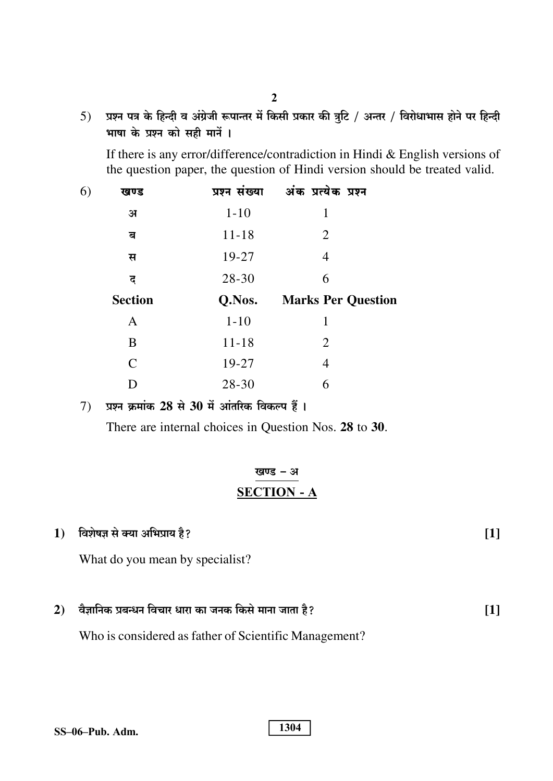5) प्रश्न पत्र के हिन्दी व अंग्रेजी रूपान्तर में किसी प्रकार की त्रूटि / अन्तर / विरोधाभास होने पर हिन्दी भाषा के प्रश्न को सही मानें ।

If there is any error/difference/contradiction in Hindi & English versions of the question paper, the question of Hindi version should be treated valid.

| खण्ड           | प्रश्न संख्या | अंक प्रत्येक प्रश्न       |
|----------------|---------------|---------------------------|
| अ              | $1 - 10$      | $\mathbf{1}$              |
| ब              | $11 - 18$     | 2                         |
| स              | 19-27         | 4                         |
| द              | 28-30         | 6                         |
|                |               |                           |
| <b>Section</b> | Q.Nos.        | <b>Marks Per Question</b> |
| A              | $1 - 10$      | 1                         |
| B              | $11 - 18$     | $\overline{2}$            |
| $\mathcal{C}$  | 19-27         | 4                         |
|                |               |                           |

7) प्रश्न क्रमांक 28 से 30 में आंतरिक विकल्प हैं।

There are internal choices in Question Nos. 28 to 30.

## खण्ड - अ **SECTION - A**

#### विशेषज्ञ से क्या अभिप्राय है?  $1)$

What do you mean by specialist?

वैज्ञानिक प्रबन्धन विचार धारा का जनक किसे माना जाता है?  $2)$  $[1]$ 

1304

Who is considered as father of Scientific Management?

| SS–06–Pub. Adm. |
|-----------------|
|-----------------|

 $[1]$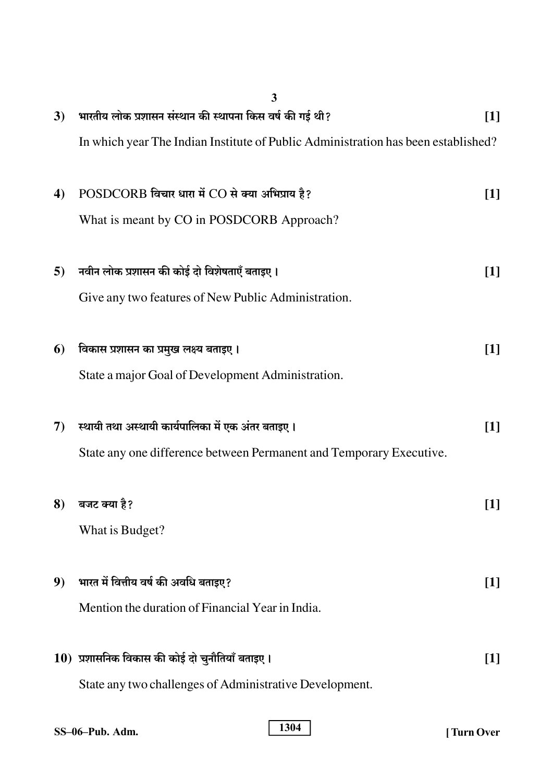|    | 3                                                                                 |                   |
|----|-----------------------------------------------------------------------------------|-------------------|
| 3) | भारतीय लोक प्रशासन संस्थान की स्थापना किस वर्ष की गई थी?                          | $\lceil 1 \rceil$ |
|    | In which year The Indian Institute of Public Administration has been established? |                   |
| 4) | POSDCORB विचार धारा में CO से क्या अभिप्राय है?                                   | $\lceil 1 \rceil$ |
|    | What is meant by CO in POSDCORB Approach?                                         |                   |
| 5) | नवीन लोक प्रशासन की कोई दो विशेषताएँ बताइए।                                       | [1]               |
|    | Give any two features of New Public Administration.                               |                   |
| 6) | विकास प्रशासन का प्रमुख लक्ष्य बताइए ।                                            | $\lceil 1 \rceil$ |
|    | State a major Goal of Development Administration.                                 |                   |
| 7) | स्थायी तथा अस्थायी कार्यपालिका में एक अंतर बताइए ।                                | [1]               |
|    | State any one difference between Permanent and Temporary Executive.               |                   |
|    | 8) बजट क्या है?                                                                   | $[1]$             |
|    | What is Budget?                                                                   |                   |
| 9  | भारत में वित्तीय वर्ष की अवधि बताइए?                                              | $[1]$             |
|    | Mention the duration of Financial Year in India.                                  |                   |
|    | $10$ ) प्रशासनिक विकास की कोई दो चुनौतियाँ बताइए ।                                | $[1]$             |
|    | State any two challenges of Administrative Development.                           |                   |
|    |                                                                                   |                   |

| SS-06-Pub. Adm. |  |
|-----------------|--|
|-----------------|--|

1304

[Turn Over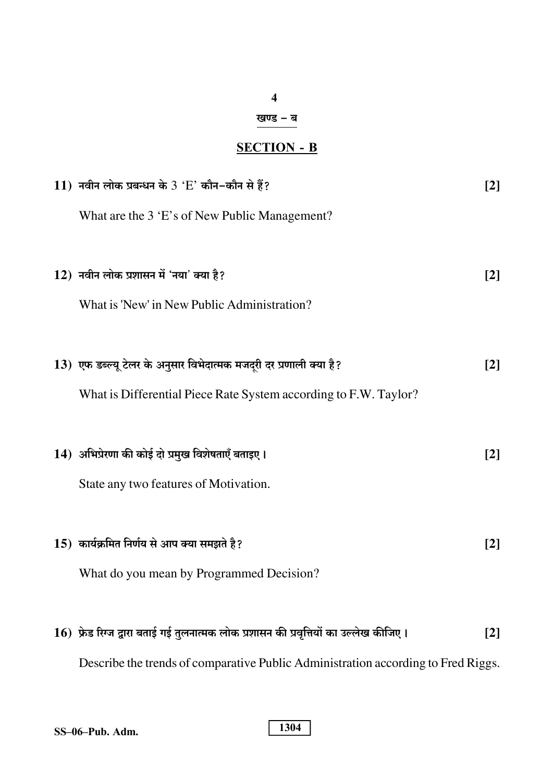### $\overline{\mathbf{4}}$

# खण्ड – ब

# **SECTION - B**

| 11) नवीन लोक प्रबन्धन के $3$ 'E' कौन-कौन से हैं?                                         | $\lceil 2 \rceil$ |
|------------------------------------------------------------------------------------------|-------------------|
| What are the 3 'E's of New Public Management?                                            |                   |
|                                                                                          |                   |
| $12$ ) नवीन लोक प्रशासन में 'नया' क्या है?                                               | $\lceil 2 \rceil$ |
| What is 'New' in New Public Administration?                                              |                   |
|                                                                                          |                   |
| 13) एफ डब्ल्यू टेलर के अनुसार विभेदात्मक मजदरी दर प्रणाली क्या है?                       | $\lceil 2 \rceil$ |
| What is Differential Piece Rate System according to F.W. Taylor?                         |                   |
|                                                                                          |                   |
| 14) अभिप्रेरणा की कोई दो प्रमुख विशेषताएँ बताइए।                                         | $\lceil 2 \rceil$ |
| State any two features of Motivation.                                                    |                   |
|                                                                                          |                   |
| $15$ ) कार्यक्रमित निर्णय से आप क्या समझते है?                                           | $\lceil 2 \rceil$ |
| What do you mean by Programmed Decision?                                                 |                   |
|                                                                                          |                   |
| $16$ ) फ्रेड रिग्ज द्वारा बताई गई तुलनात्मक लोक प्रशासन की प्रवृत्तियों का उल्लेख कीजिए। | $\lceil 2 \rceil$ |
| Describe the trends of comparative Public Administration according to Fred Riggs.        |                   |

|  | SS-06-Pub. Adm. |
|--|-----------------|
|  |                 |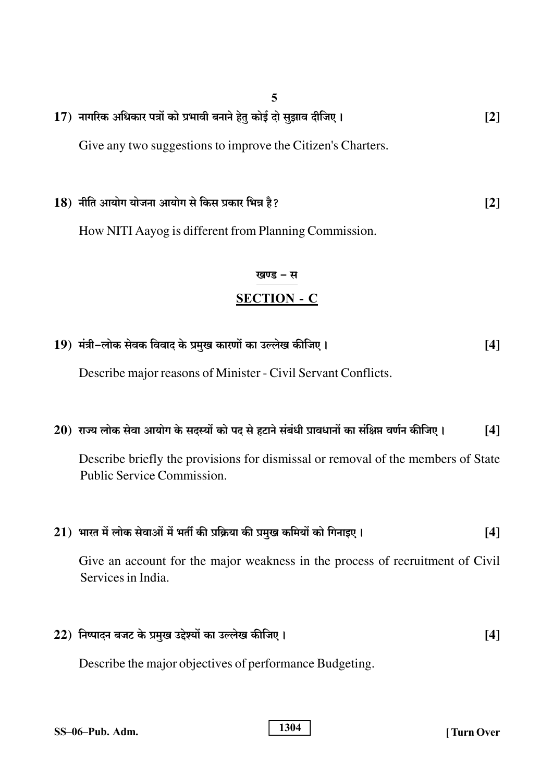- 5 17) नागरिक अधिकार पत्रों को प्रभावी बनाने हेतु कोई दो सुझाव दीजिए।  $\lceil 2 \rceil$ Give any two suggestions to improve the Citizen's Charters.
- 18) नीति आयोग योजना आयोग से किस प्रकार भिन्न है?  $\lceil 2 \rceil$

How NITI Aayog is different from Planning Commission.

# खण्ड – स **SECTION - C**

19) मंत्री-लोक सेवक विवाद के प्रमुख कारणों का उल्लेख कीजिए।  $[4]$ 

Describe major reasons of Minister - Civil Servant Conflicts.

20) राज्य लोक सेवा आयोग के सदस्यों को पद से हटाने संबंधी प्रावधानों का संक्षिप्त वर्णन कीजिए।  $[4]$ 

Describe briefly the provisions for dismissal or removal of the members of State Public Service Commission.

| $21)$ भारत में लोक सेवाओं में भर्ती की प्रक्रिया की प्रमुख कमियों को गिनाइए।                        | 14 I |
|-----------------------------------------------------------------------------------------------------|------|
| Give an account for the major weakness in the process of recruitment of Civil<br>Services in India. |      |
| 22) निष्पादन बजट के प्रमुख उद्देश्यों का उल्लेख कीजिए।                                              | 14 I |

Describe the major objectives of performance Budgeting.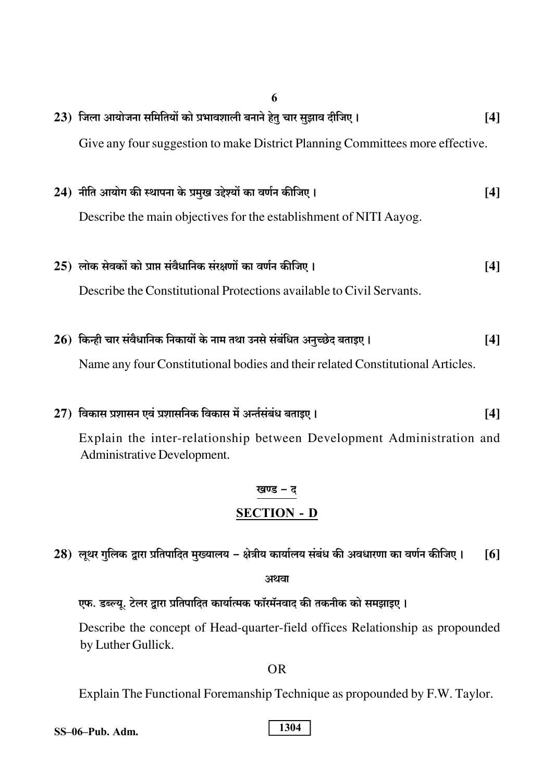| 6                                                                              |       |
|--------------------------------------------------------------------------------|-------|
| $(23)$ जिला आयोजना समितियों को प्रभावशाली बनाने हेतु चार सुझाव दीजिए ।         | [4]   |
| Give any four suggestion to make District Planning Committees more effective.  |       |
| 24) नीति आयोग की स्थापना के प्रमुख उद्देश्यों का वर्णन कीजिए ।                 | $[4]$ |
| Describe the main objectives for the establishment of NITI Aayog.              |       |
| $25$ ) लोक सेवकों को प्राप्त संवैधानिक संरक्षणों का वर्णन कीजिए।               | [4]   |
| Describe the Constitutional Protections available to Civil Servants.           |       |
| $26$ ) किन्ही चार संवैधानिक निकायों के नाम तथा उनसे संबंधित अनुच्छेद बताइए।    | [4]   |
| Name any four Constitutional bodies and their related Constitutional Articles. |       |
| $(27)$ विकास प्रशासन एवं प्रशासनिक विकास में अर्न्तसंबंध बताइए ।               | [4]   |
| Explain the inter-relationship between Development Administration and          |       |

Administrative Development.

# खण्ड – द **SECTION - D**

28) लूथर गुलिक द्वारा प्रतिपादित मुख्यालय – क्षेत्रीय कार्यालय संबंध की अवधारणा का वर्णन कीजिए।  $[6]$ 

अथवा

एफ. डब्ल्यू. टेलर द्वारा प्रतिपादित कार्यात्मक फॉरमॅनवाद की तकनीक को समझाइए।

Describe the concept of Head-quarter-field offices Relationship as propounded by Luther Gullick.

 $OR$ 

Explain The Functional Foremanship Technique as propounded by F.W. Taylor.

SS-06-Pub. Adm.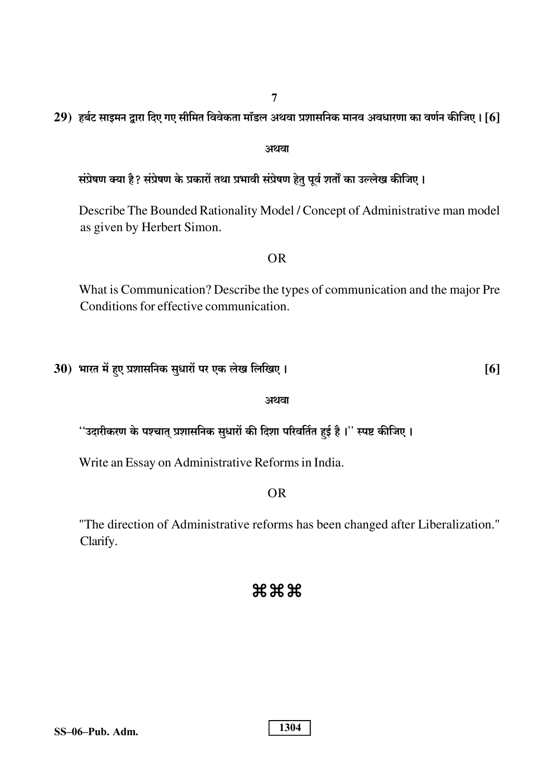$\overline{7}$ 

29) हर्बट साइमन द्रारा दिए गए सीमित विवेकता मॉडल अथवा प्रशासनिक मानव अवधारणा का वर्णन कीजिए। [6]

### अथवा

संप्रेषण क्या है? संप्रेषण के प्रकारों तथा प्रभावी संप्रेषण हेतु पूर्व शर्तों का उल्लेख कीजिए।

Describe The Bounded Rationality Model / Concept of Administrative man model as given by Herbert Simon.

### **OR**

What is Communication? Describe the types of communication and the major Pre Conditions for effective communication.

 $[6]$ 

| 30)  भारत में हुए प्रशासनिक सुधारों पर एक लेख लिखिए । |  |  |  |
|-------------------------------------------------------|--|--|--|
|                                                       |  |  |  |

### अथवा

''उदारीकरण के पश्चात् प्रशासनिक सुधारों की दिशा परिवर्तित हुई है ।'' स्पष्ट कीजिए ।

Write an Essay on Administrative Reforms in India.

### $OR$

"The direction of Administrative reforms has been changed after Liberalization." Clarify.

### $\###$